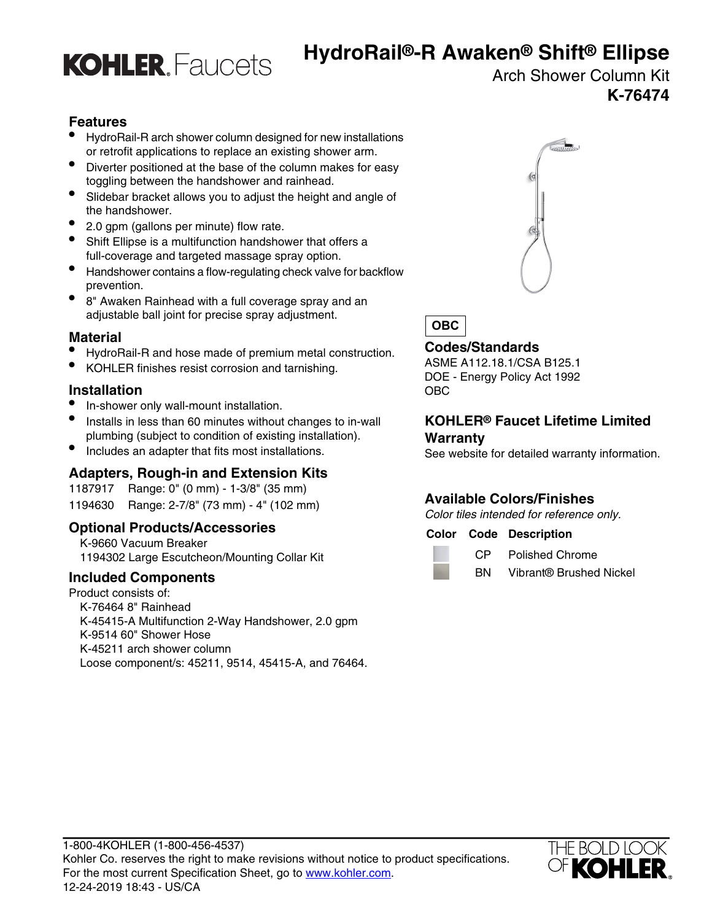

## **HydroRail®-R Awaken® Shift® Ellipse**

Arch Shower Column Kit **K-76474**

### **Features**

- HydroRail-R arch shower column designed for new installations or retrofit applications to replace an existing shower arm.
- Diverter positioned at the base of the column makes for easy toggling between the handshower and rainhead.
- Slidebar bracket allows you to adjust the height and angle of the handshower.
- 2.0 gpm (gallons per minute) flow rate.
- Shift Ellipse is a multifunction handshower that offers a full-coverage and targeted massage spray option.
- Handshower contains a flow-regulating check valve for backflow prevention.
- 8" Awaken Rainhead with a full coverage spray and an adjustable ball joint for precise spray adjustment.

#### **Material**

- **Codes/Standards** HydroRail-R and hose made of premium metal construction.
- ASME A112.18.1/CSA B125.1 KOHLER finishes resist corrosion and tarnishing. DOE Energy Policy Act 1992

### **Installation** OBC

- In-shower only wall-mount installation.
- Installs in less than 60 minutes without changes to in-wall plumbing (subject to condition of existing installation).
- Includes an adapter that fits most installations. See website for detailed warranty information.

### **Adapters, Rough-in and Extension Kits**

1187917 Range: 0" (0 mm) - 1-3/8" (35 mm) 1194630 Range: 2-7/8" (73 mm) - 4" (102 mm)

### **Optional Products/Accessories**

K-9660 Vacuum Breaker 1194302 Large Escutcheon/Mounting Collar Kit

Product consists of: K-76464 8" Rainhead K-45415-A Multifunction 2-Way Handshower, 2.0 gpm K-9514 60" Shower Hose K-45211 arch shower column Loose component/s: 45211, 9514, 45415-A, and 76464.



**OBC**

#### **KOHLER® Faucet Lifetime Limited Warranty**

### **Available Colors/Finishes**

Color tiles intended for reference only.

#### **Color Code Description**

| CP. | <b>Polished Chrome</b> |
|-----|------------------------|
|     |                        |

**Included Components Included Components Included Components**